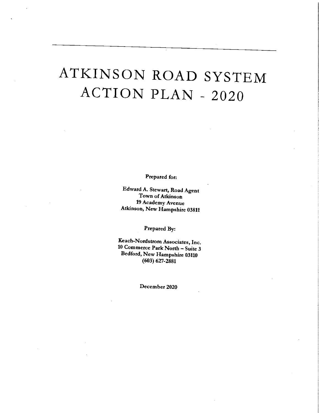# ATKINSON ROAD SYSTE ACTION PLAN - 202

Ptepated fot:

Edward A. Stewart, Road Agent Town of Atkinson 19 Academy Avenue Atkinson, New Hampshire 03811

Prepated By:

Keach-Nordsttom Associates, Inc. <sup>10</sup> Commerce Patk Notth - Suite <sup>3</sup> Bedford, New Hampshire <sup>03110</sup> (603) 627-2881

Decembet 2020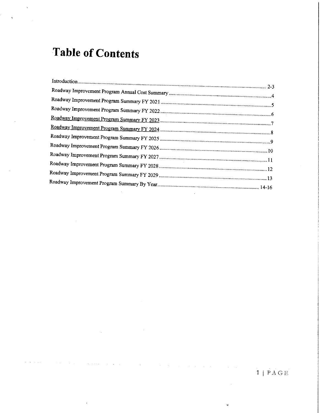## Table of Contents

 $\sim$ 

 $\bar{\beta}$ 

 $\sim$ 

 $\alpha = \alpha + \alpha + \alpha$  .

 $\sim$ 

 $\sim$ 

 $\mathcal{A}^{\mathcal{A}}$  and  $\mathcal{A}^{\mathcal{A}}$  are  $\mathcal{A}^{\mathcal{A}}$  . In the  $\mathcal{A}^{\mathcal{A}}$ 

 $\label{eq:2.1} \frac{1}{\sqrt{2}}\int_{\mathbb{R}^3} \frac{1}{\sqrt{2}}\left(\frac{1}{\sqrt{2}}\right)^2\left(\frac{1}{\sqrt{2}}\right)^2\left(\frac{1}{\sqrt{2}}\right)^2\left(\frac{1}{\sqrt{2}}\right)^2.$ 

 $\sim$ 

 $\alpha$  and  $\alpha$ 

 $\sim 10^{11}$  km

 $\sim$ 

 $\boxed{\mathbf{1}\parallel\mathbf{P}\,\text{A}\,\text{G}\,\text{E}}$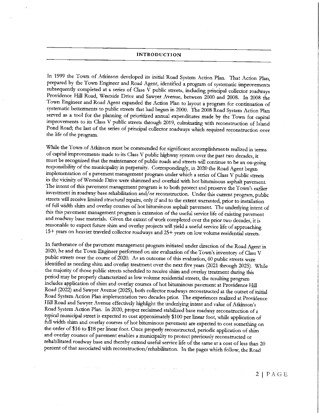#### INTRODUCTION

In 1999 the Town of Atkinson developed its initial Road System Action Plan. That Action Plan, prepared by tbe Town Engineer and Road Agent, identified <sup>a</sup> ptogram of systematic improvements subsequently completed at a series of Class V public streets, including principal collector roadways Providence Hill Road, Westside Drive and Sawyer Avenue, between 2000 and 2008. In 2008 the Town Engineer and Road Agent expanded the Action Plan to layout a program for continuation of systematic betterments to public streets that had begun in 2000. The 2008 Road System Action Plan served as a tool for the planning of prioritized annual expenditures made by the Town for capital improvements to its Class <sup>V</sup> public streets through 2019, culminating with reconstmction of Island Pond Road; the last of the series of principal collector roadways which required reconstruction over the life of the program.

While the Town of Atkinson must be comrnended for significant accomplishments realized in terrns of capital irnprovements made to its Class <sup>V</sup> public highway system ovet the past two decades, it must be recognized that the maintenance of public roads and streets will continue to be an on-going responsibility of the municipality in perpetuity. Correspondingly, in 2020 the Road Agent began implementation of a pavement management program under which a series of Class V public streets <sup>m</sup> the vicimty of Westside Drive wete shirnmed and overlaid wth hot bituminous asphalt pavement. The intent of this pavement management program is to both protect and preserve the Town's earlier investment in toadway base rehabilitatton and/or reconstruction. Under this current ptogram, public stteets will receive lirmted structural repairs, only if and to the extent warranted, prior to installation of ill w'dth shim and overlay courses of hot bituminous asphalt pavement. The underlying intent of this this pavement management program is extension of the useful service life of existing pavement and roadway base materials. Given the extent of work completed over the prior two decades, it is reasonable to expect future shim and overlay projects will yield a useful service life of approaching 15+ years on heavter traveled collector roadways and 25+ yeats on low volume residential streets.

In furtherance of the pavement management program initiated undet ditection of the Road Agent in 2020, he and the Town Engineer performed on site evaluation of the Town's inventory of Class V public streets over the course of 2020. As an outcome of this evaluation, 60 public streets were identified as needing shim and overlay treatment over the next five years (2021 through 2025). While the majority of those public streets scheduled to receive shim and overlay treatment during this period may be properly characterized as low volume residential streets, the resulting program includes application of shim and overlay courses of hot bituminous pavement at Providence Hill Road (2022) arid Sawyet Avenue (2025), both collector roadways reconstructed at the outset of initial Road System Action Plan implementation two decades prior. The experiences realized at Providence Hill Road and Sawyer Avenue effectively highlight the underlying intent and value of Atkinson's Road System Action Plan. In 2020, proper reclaimed stabihzed base roadway reconstruction of <sup>a</sup> typical municipal street is expected to cost approximately \$100 per linear foot, while application of full width shim and overlay courses of hot bituminous pavement are expected to cost something on the order of \$16 to \$18 per linear foot. Once properly reconstructed, periodic application of shim and overlay courses of pavement enables a municipality to protect previously reconstructed or rehabilitated roadway base and thereby extend useful service life of the same at <sup>a</sup> cost of less than <sup>20</sup> petcent of that associated with reconstruction/tehabilitation. In the pages which follow, the Road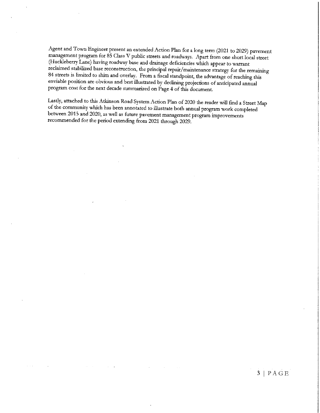Agent and Town Engineer present an extended Action Plan for <sup>a</sup> long terrn (2021 to 2029) pavement management program for <sup>85</sup> Class <sup>V</sup> public streets and roadways. Apart ftom one short local street (Hucklebetty Lane) having toadway base and drainage deficiencies which appear to warrant reclaimed stabilized base reconstruction, the principal repair/maintenance strategy for the remaining 84 streets is limited to shim and overlay. From a fiscal standpoint, the advantage of reaching this enviable position are obvious and best illustrated by declining projections of anticipated annual ptoyam cost for the next decade summatized on Page 4 of this document.

Lastly, attached to this Atkinson Road System Action Plan of <sup>2020</sup> the teader will find <sup>a</sup> Street Map of the community which has been annotated to illustrate both annual program work completed between 2015 and 2020, as well as future pavement management program improvements recormnended for the period extending from <sup>2021</sup> through 2029.

 $3$  | PAGE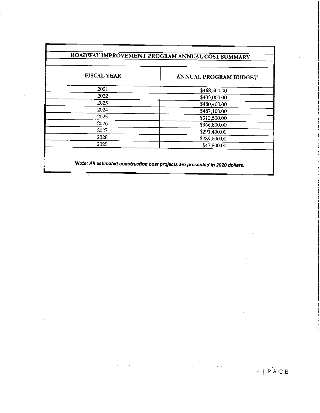### ROADWAY IMPROVEMENT PROGRAM ANNUAL COST SUMMARY

| <b>FISCAL YEAR</b> | ANNUAL PROGRAM BUDGET |
|--------------------|-----------------------|
| 2021               | \$468,500.00          |
| 2022               | \$403,000.00          |
| 2023               | \$480,400.00          |
| 2024               | \$487,100.00          |
| 2025               | \$312,500.00          |
| 2026               | \$366,800.00          |
| 2027               | \$291,400.00          |
| 2028               | \$289,600.00          |
| 2029               | \$47,800.00           |

"Note: A// estimated construction cost projects are presented in <sup>2020</sup> dollars.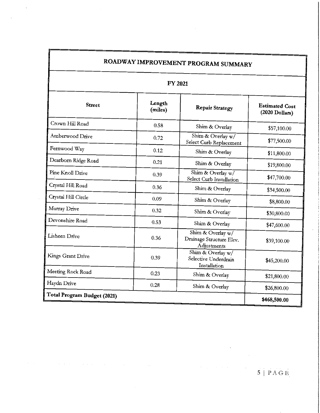| <b>FY 2021</b>              |                   |                                                              |                                         |  |
|-----------------------------|-------------------|--------------------------------------------------------------|-----------------------------------------|--|
| <b>Street</b>               | Length<br>(miles) | <b>Repair Strategy</b>                                       | <b>Estimated Cost</b><br>(2020 Dollars) |  |
| Crown Hill Road             | 0.58              | Shim & Overlay                                               | \$57,100.00                             |  |
| Amberwood Drive             | 0.72              | Shim & Overlay $\overline{w}$<br>Select Curb Replacement     | \$77,500.00                             |  |
| Fernwood Way                | 0.12              | Shim & Overlay                                               | \$11,800.00                             |  |
| Dearborn Ridge Road         | 0.21              | Shim & Overlay<br>\$19,800.00                                |                                         |  |
| Pine Knoll Drive            | 0.39              | Shim & Overlay w/<br>Select Curb Installation                | \$47,700.00                             |  |
| Crystal Hill Road           | 0.36              | Shim & Overlay                                               | \$34,500.00<br>\$8,800.00               |  |
| Crystal Hill Circle         | 0.09              | Shim & Overlay                                               |                                         |  |
| Murray Drive                | 0.32              | Shim & Overlay                                               | \$30,800.00                             |  |
| Devonshire Road             | 0.53              | Shim & Overlay                                               | \$47,600.00                             |  |
| Lisheen Drive               | 0.36              | Shim & Overlay w/<br>Drainage Structure Elev.<br>Adjustments | \$39,100.00                             |  |
| Kings Grant Drive           | 0.39              | Shim & Overlay $w/$<br>Selective Underdrain<br>Installation  | \$45,200.00                             |  |
| Meeting Rock Road           | 0.23              | Shim & Overlay                                               | \$21,800.00                             |  |
| Haydn Drive                 | 0.28              | Shim & Overlay                                               | \$26,800.00                             |  |
| Total Program Budget (2021) | \$468,500.00      |                                                              |                                         |  |

 $\hat{\mathcal{S}}$ 

 $\hat{\mathcal{A}}$ 

## $\overline{5}$  | PAGE

 $\hat{\mathbf{r}}$ 

 $\alpha_{\rm{max}}$ 

 $\hat{\mathcal{A}}$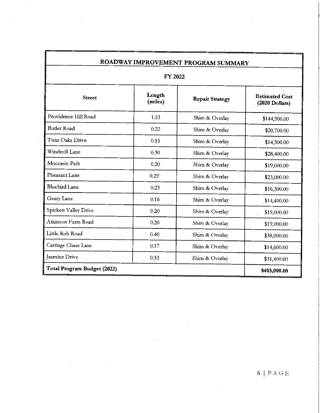| ROADWAY IMPROVEMENT PROGRAM SUMMARY |                   |                        |                                         |  |
|-------------------------------------|-------------------|------------------------|-----------------------------------------|--|
| FY 2022                             |                   |                        |                                         |  |
| <b>Street</b>                       | Length<br>(miles) | <b>Repair Strategy</b> | <b>Estimated Cost</b><br>(2020 Dollars) |  |
| Providence Hill Road                | 1.53              | Shim & Overlay         | \$144,900.00                            |  |
| <b>Butler Road</b>                  | 0.22              | Shim & Overlay         | \$20,700.00                             |  |
| Twin Oaks Drive                     | 0.15              | Shim & Overlay         | \$14,300.00                             |  |
| Windmill Lane                       | 0.30              | Shim & Overlay         | \$28,400.00                             |  |
| Moccasin Path                       | 0.20              | Shim & Overlay         | \$19,000.00                             |  |
| Pheasant Lane                       | 0.29 <sup>°</sup> | Shim & Overlay         | \$23,000.00                             |  |
| <b>Bluebird Lane</b>                | 0.23              | Shim & Overlay         | \$16,300.00                             |  |
| Geary Lane                          | 0.16              | Shim & Overlay         | \$14,400.00                             |  |
| Spickett Valley Drive               | 0.20              | Shim & Overlay         | \$19,000.00                             |  |
| Atkinson Farm Road                  | 0.20              | Shim & Overlay         | \$19,000.00                             |  |
| Little Rob Road                     | 0.40              | Shim & Overlay         | \$38,000.00                             |  |
| Carriage Chase Lane                 | 0.17              | Shim & Overlay         | \$14,600.00                             |  |
| <b>Jasmine Drive</b>                | 0.33              | Shim & Overlay         | \$31,400.00                             |  |
| Total Program Budget (2022)         |                   |                        | \$403,000.00                            |  |

 $\cdot$ 

 $\sim$ 

 $\bar{\beta}$ 

 $\sim$ 

 $\label{eq:2} \frac{1}{\sqrt{2}}\sum_{i=1}^n\frac{1}{\sqrt{2}}\sum_{j=1}^n\frac{1}{j!}\sum_{j=1}^n\frac{1}{j!}\sum_{j=1}^n\frac{1}{j!}\sum_{j=1}^n\frac{1}{j!}\sum_{j=1}^n\frac{1}{j!}\sum_{j=1}^n\frac{1}{j!}\sum_{j=1}^n\frac{1}{j!}\sum_{j=1}^n\frac{1}{j!}\sum_{j=1}^n\frac{1}{j!}\sum_{j=1}^n\frac{1}{j!}\sum_{j=1}^n\frac{1}{j!}\sum_{j=1}^$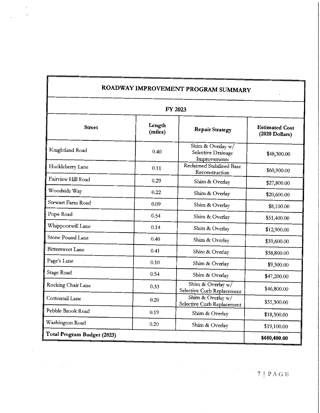| ROADWAY IMPROVEMENT PROGRAM SUMMARY |                   |                                                         |                                                  |  |
|-------------------------------------|-------------------|---------------------------------------------------------|--------------------------------------------------|--|
| FY 2023                             |                   |                                                         |                                                  |  |
| <b>Street</b>                       | Length<br>(miles) | <b>Repair Strategy</b>                                  | <b>Estimated Cost</b><br>$(2020 \text{ Dolars})$ |  |
| Knightland Road                     | 0.40              | Shim & Overlay w/<br>Selective Drainage<br>Improvements | \$48,300.00                                      |  |
| Huckleberry Lane                    | 0.11              | Reclaimed Stabilized Base<br>Reconstruction             | \$60,900.00                                      |  |
| Fairview Hill Road                  | 0.29              | Shim & Overlay                                          | \$27,800.00                                      |  |
| Woodside Way                        | 0.22              | Shim & Overlay                                          | \$20,600.00                                      |  |
| Stewart Farm Road                   | 0.09              | Shim & Overlay                                          | \$8,100.00                                       |  |
| Pope Road                           | 0.54              | Shim & Overlay                                          | \$51,400.00                                      |  |
| Whippoorwill Lane                   | 0.14              | Shim & Overlay                                          | \$12,900.00                                      |  |
| Stone Pound Lane                    | 0.40              | Shim & Overlay                                          | \$39,600.00                                      |  |
| <b>Bittersweet Lane</b>             | 0.41              | Shim & Overlay                                          | \$38,800.00                                      |  |
| Page's Lane                         | 0,10              | Shim & Overlay                                          | \$9,300.00                                       |  |
| Stage Road                          | 0.54              | Shim & Overlay                                          | \$47,200.00                                      |  |
| Rocking Chair Lane                  | 0.33              | Shim & Overlay w/<br>Selective Curb Replacement         | \$46,800.00                                      |  |
| Cottontail Lane                     | 0.20              | Shim & Overlay w/<br>Selective Curb Replacement         | \$31,300.00                                      |  |
| Pebble Brook Road                   | 0.19              | Shim & Overlay                                          | \$18,300.00                                      |  |
| Washington Road                     | 0.20              | Shim & Overlay                                          | \$19,100.00                                      |  |
| Total Program Budget (2023)         |                   |                                                         |                                                  |  |

7IPAGE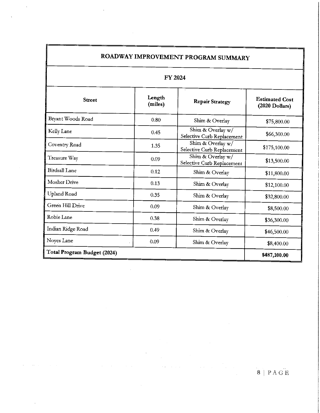| ROADWAY IMPROVEMENT PROGRAM SUMMARY |                   |                                                 |                                           |  |  |
|-------------------------------------|-------------------|-------------------------------------------------|-------------------------------------------|--|--|
|                                     | FY 2024           |                                                 |                                           |  |  |
| <b>Street</b>                       | Length<br>(miles) | <b>Repair Strategy</b>                          | <b>Estimated Cost</b><br>$(2020$ Dollars) |  |  |
| Bryant Woods Road                   | 0.80              | Shim & Overlay                                  | \$75,800.00                               |  |  |
| Kelly Lane                          | 0.45              | Shim & Overlay w/<br>Selective Curb Replacement | \$66,300.00                               |  |  |
| Coventry Road                       | 1.35              | Shim & Overlay w/<br>Selective Curb Replacement | \$175,100.00                              |  |  |
| Treasure Way                        | 0.09              | Shim & Overlay w/<br>Selective Curb Replacement | \$13,500.00                               |  |  |
| <b>Birdsall Lane</b>                | 0,12              | Shim & Overlay                                  | \$11,800.00                               |  |  |
| Mosher Drive                        | 0.13              | Shim & Overlay                                  | \$12,100.00                               |  |  |
| Upland Road                         | 0.35              | Shim & Overlay                                  | \$32,800.00                               |  |  |
| Green Hill Drive                    | 0.09              | Shim & Overlay                                  | \$8,500.00                                |  |  |
| Robie Lane                          | 0.38              | Shim & Overlay                                  | \$36,300.00                               |  |  |
| Indian Ridge Road                   | 0.49              | Shim & Overlay                                  | \$46,500.00                               |  |  |
| Noyes Lane                          | 0.09              | Shim & Overlay                                  | \$8,400.00                                |  |  |
| Total Program Budget (2024)         |                   |                                                 | \$487,100.00                              |  |  |

 $\bar{\beta}$ 

 $\sim$ 

 $\hat{\mathcal{A}}$ 

 $\hat{\mathcal{A}}$ 

 $\cdot$ 

### $\overline{\textbf{8}}$  | PAGE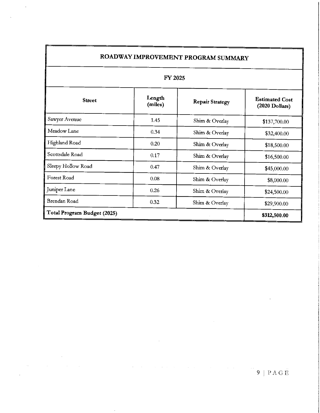| ROADWAY IMPROVEMENT PROGRAM SUMMARY |                   |                        |                                         |  |
|-------------------------------------|-------------------|------------------------|-----------------------------------------|--|
| <b>FY 2025</b>                      |                   |                        |                                         |  |
| <b>Street</b>                       | Length<br>(miles) | <b>Repair Strategy</b> | <b>Estimated Cost</b><br>(2020 Dollars) |  |
| Sawyer Avenue                       | 1.45              | Shim & Overlay         | \$137,700.00                            |  |
| Meadow Lane                         | 0.34              | Shim & Overlay         | \$32,400.00                             |  |
| Highland Road                       | 0.20              | Shim & Overlay         | \$18,500.00                             |  |
| Scottsdale Road                     | 0.17              | Shim & Overlay         | \$16,500.00                             |  |
| Sleepy Hollow Road                  | 0.47              | Shim & Overlay         | \$45,000.00                             |  |
| Forest Road                         | 0.08              | Shim & Overlay         | \$8,000.00                              |  |
| Juniper Lane                        | 0.26              | Shim & Overlay         | \$24,500.00                             |  |
| Brendan Road                        | 0.32              | Shim & Overlay         | \$29,900.00                             |  |
| Total Program Budget (2025)         |                   |                        | \$312,500.00                            |  |

 $\mathcal{L}_{\mathcal{A}}$ 

 $\label{eq:2.1} \frac{1}{\sqrt{2}}\int_{\mathbb{R}^3}\frac{1}{\sqrt{2}}\left(\frac{1}{\sqrt{2}}\right)^2\frac{1}{\sqrt{2}}\left(\frac{1}{\sqrt{2}}\right)^2\frac{1}{\sqrt{2}}\left(\frac{1}{\sqrt{2}}\right)^2.$ 

 $\mathcal{L}(\mathcal{A})$  and  $\mathcal{L}(\mathcal{A})$  are  $\mathcal{L}(\mathcal{A})$  . The contribution of  $\mathcal{L}(\mathcal{A})$ 

 $\label{eq:3.1} \mathcal{L}(\mathcal{A}) = \mathcal{L}(\mathcal{A}) \mathcal{L}(\mathcal{A}) = \mathcal{L}(\mathcal{A})$ 

 $\hat{\mathcal{L}}$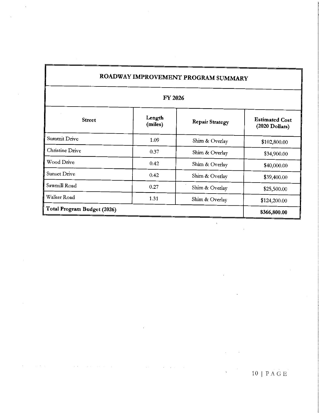| ROADWAY IMPROVEMENT PROGRAM SUMMARY |                   |                        |                                         |  |
|-------------------------------------|-------------------|------------------------|-----------------------------------------|--|
|                                     | FY 2026           |                        |                                         |  |
| <b>Street</b>                       | Length<br>(miles) | <b>Repair Strategy</b> | <b>Estimated Cost</b><br>(2020 Dollars) |  |
| Summit Drive                        | 1.09              | Shim & Overlay         | \$102,800.00                            |  |
| Christine Drive                     | 0.37              | Shim & Overlay         | \$34,900.00                             |  |
| Wood Drive                          | 0.42              | Shim & Overlay         | \$40,000.00                             |  |
| <b>Sunset Drive</b>                 | 0.42              | Shim & Overlav         | \$39,400.00                             |  |
| Sawmill Road                        | 0.27              | Shim & Overlay         | \$25,500.00                             |  |
| Walker Road                         | 1.31              | Shim & Overlay         | \$124,200.00                            |  |
| Total Program Budget (2026)         |                   |                        | \$366,800.00                            |  |

### 10 | P $\overline{A}$ GE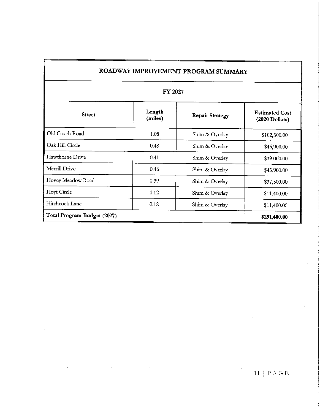| ROADWAY IMPROVEMENT PROGRAM SUMMARY<br>FY 2027 |      |                |              |  |
|------------------------------------------------|------|----------------|--------------|--|
|                                                |      |                |              |  |
| Old Coach Road                                 | 1.08 | Shim & Overlay | \$102,300.00 |  |
| Oak Hill Circle                                | 0.48 | Shim & Overlay | \$45,900.00  |  |
| Hawthorne Drive                                | 0.41 | Shim & Overlay | \$39,000.00  |  |
| Merrill Drive                                  | 0.46 | Shim & Overlay | \$43,900.00  |  |
| Hovey Meadow Road                              | 0.39 | Shim & Overlay | \$37,500.00  |  |
| <b>Hoyt Circle</b>                             | 0.12 | Shim & Overlay | \$11,400.00  |  |
| Hitchcock Lane                                 | 0.12 | Shim & Overlay | \$11,400.00  |  |
| Total Program Budget (2027)                    |      |                | \$291,400.00 |  |

 $\mathcal{A}(\mathcal{A})$  , and  $\mathcal{A}(\mathcal{A})$ 

 $\alpha = 1$ 

 $\ddot{\phantom{0}}$ 

 $\bar{z}$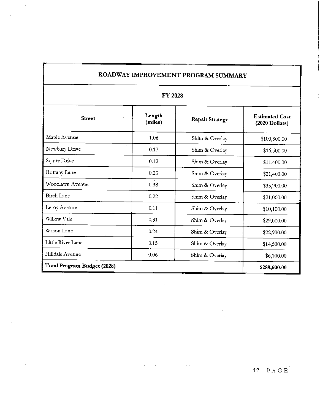| ROADWAY IMPROVEMENT PROGRAM SUMMARY<br><b>FY 2028</b> |      |                |              |  |
|-------------------------------------------------------|------|----------------|--------------|--|
|                                                       |      |                |              |  |
| Maple Avenue                                          | 1.06 | Shim & Overlay | \$100,800.00 |  |
| Newbury Drive                                         | 0.17 | Shim & Overlay | \$16,500.00  |  |
| Squire Drive                                          | 0.12 | Shim & Overlay | \$11,400.00  |  |
| <b>Brittany Lane</b>                                  | 0.23 | Shim & Overlay | \$21,400.00  |  |
| Woodlawn Avenue                                       | 0.38 | Shim & Overlay | \$35,900.00  |  |
| <b>Birch Lane</b>                                     | 0.22 | Shim & Overlay | \$21,000.00  |  |
| Leroy Avenue                                          | 0.11 | Shim & Overlay | \$10,100.00  |  |
| Willow Vale                                           | 0.31 | Shim & Overlay | \$29,000.00  |  |
| Wason Lane                                            | 0.24 | Shim & Overlay | \$22,900.00  |  |
| Little River Lane                                     | 0.15 | Shim & Overlay | \$14,500.00  |  |
| Hilldale Avenue                                       | 0.06 | Shim & Overlay | \$6,100.00   |  |
| Total Program Budget (2028)                           |      |                | \$289,600.00 |  |

 $\mathcal{L}^{\text{max}}_{\text{max}}$  and  $\mathcal{L}^{\text{max}}_{\text{max}}$ 

 $\sim$ 

 $\mathcal{L}_{\text{max}}$  and  $\mathcal{L}_{\text{max}}$  . The  $\mathcal{L}_{\text{max}}$ 

 $\mathcal{L}^{\text{max}}_{\text{max}}$ 

#### 12 | P A G E

l,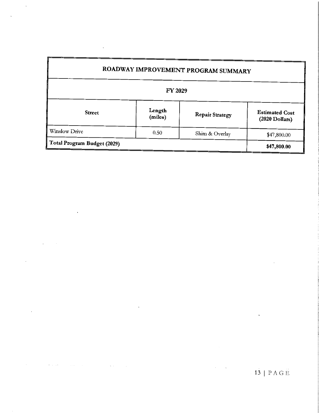|                             |                   | ROADWAY IMPROVEMENT PROGRAM SUMMARY |                                         |
|-----------------------------|-------------------|-------------------------------------|-----------------------------------------|
|                             | FY 2029           |                                     |                                         |
| <b>Street</b>               | Length<br>(miles) | <b>Repair Strategy</b>              | <b>Estimated Cost</b><br>(2020 Dollars) |
| Winslow Drive               | 0.50              | Shim & Overlay                      | \$47,800.00                             |
| Total Program Budget (2029) |                   |                                     | \$47,800.00                             |

 $\ddot{\phantom{0}}$ 

 $\sim 10^{-1}$ 

l,

 $\ddot{\phantom{1}}$ 

 $\overline{a}$ 

 $\ddot{\phantom{0}}$ 

 $\bar{\mathcal{A}}$ 

 $\bar{x}$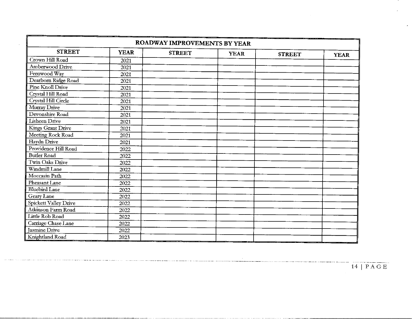| ROADWAY IMPROVEMENTS BY YEAR |             |               |             |               |             |
|------------------------------|-------------|---------------|-------------|---------------|-------------|
| <b>STREET</b>                | <b>YEAR</b> | <b>STREET</b> | <b>YEAR</b> | <b>STREET</b> | <b>YEAR</b> |
| Crown Hill Road              | 2021        |               |             |               |             |
| Amberwood Drive              | 2021        |               |             |               |             |
| Fernwood Way                 | 2021        |               |             |               |             |
| Dearborn Ridge Road          | 2021        |               |             |               |             |
| Pine Knoll Drive             | 2021        |               |             |               |             |
| Crystal Hill Road            | 2021        |               |             |               |             |
| Crystal Hill Circle          | 2021        |               |             |               |             |
| Murray Drive                 | 2021        |               |             |               |             |
| Devonshire Road              | 2021        |               |             |               |             |
| Lisheen Drive                | 2021        |               |             |               |             |
| Kings Grant Drive            | 2021        |               |             |               |             |
| Meeting Rock Road            | 2021        |               |             |               |             |
| Haydn Drive                  | 2021        |               |             |               |             |
| Providence Hill Road         | 2022        |               |             |               |             |
| <b>Butler Road</b>           | 2022        |               |             |               |             |
| Twin Oaks Drive              | 2022        |               |             |               |             |
| Windmill Lane                | 2022        |               |             |               |             |
| Moccasin Path                | 2022        |               |             |               |             |
| Pheasant Lane                | 2022        |               |             |               |             |
| <b>Bluebird Lane</b>         | 2022        |               |             |               |             |
| Geary Lane                   | 2022        |               |             |               |             |
| Spickett Valley Drive        | 2022        |               |             |               |             |
| Atkinson Farm Road           | 2022        |               |             |               |             |
| Little Rob Road              | 2022        |               |             |               |             |
| Carriage Chase Lane          | 2022        |               |             |               |             |
| Jasmine Drive                | 2022        |               |             |               |             |
| Knightland Road              | 2023        |               |             |               |             |

 $\mathcal{L}^{\text{max}}_{\text{max}}$  , where  $\mathcal{L}^{\text{max}}_{\text{max}}$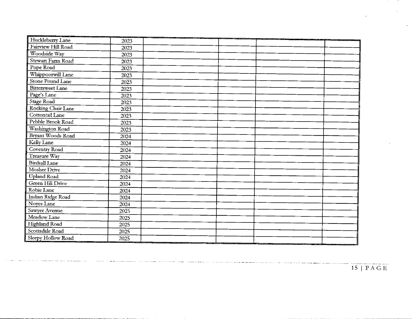| Huckleberry Lane        | 2023 |  |        |  |
|-------------------------|------|--|--------|--|
| Fairview Hill Road      | 2023 |  |        |  |
| Woodside Way            | 2023 |  |        |  |
| Stewart Farm Road       | 2023 |  |        |  |
| Pope Road               | 2023 |  |        |  |
| Whippoorwill Lane       | 2023 |  |        |  |
| Stone Pound Lane        | 2023 |  |        |  |
| <b>Bittersweet Lane</b> | 2023 |  |        |  |
| Page's Lane             | 2023 |  |        |  |
| Stage Road              | 2023 |  |        |  |
| Rocking Chair Lane      | 2023 |  |        |  |
| Cottontail Lane         | 2023 |  |        |  |
| Pebble Brook Road       | 2023 |  |        |  |
| Washington Road         | 2023 |  |        |  |
| Bryant Woods Road       | 2024 |  | $\sim$ |  |
| Kelly Lane              | 2024 |  |        |  |
| Coventry Road           | 2024 |  |        |  |
| Treasure Way            | 2024 |  |        |  |
| Birdsall Lane           | 2024 |  |        |  |
| Mosher Drive            | 2024 |  |        |  |
| Upland Road             | 2024 |  |        |  |
| Green Hill Drive        | 2024 |  |        |  |
| Robie Lane              | 2024 |  |        |  |
| Indian Ridge Road       | 2024 |  |        |  |
| Noyes Lane              | 2024 |  |        |  |
| Sawyer Avenue           | 2025 |  |        |  |
| Meadow Lane             | 2025 |  |        |  |
| Highland Road           | 2025 |  |        |  |
| Scottsdale Road         | 2025 |  |        |  |
| Sleepy Hollow Road      | 2025 |  |        |  |

 $15$ | PAGE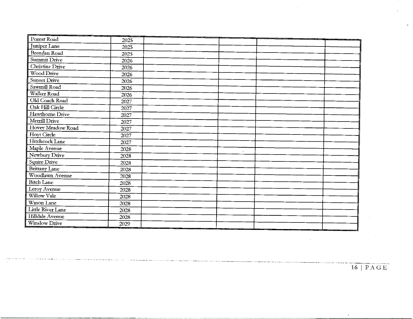| Forest Road          | 2025     |        |  |
|----------------------|----------|--------|--|
| <b>Juniper Lane</b>  | 2025     |        |  |
| Brendan Road         | 2025     |        |  |
| Summit Drive         | 2026     |        |  |
| Christine Drive      | 2026     |        |  |
| Wood Drive           | 2026     |        |  |
| Sunset Drive         | 2026     |        |  |
| Sawmill Road         | 2026     |        |  |
| Walker Road          | 2026     |        |  |
| Old Coach Road       | 2027     |        |  |
| Oak Hill Circle      | 2027     |        |  |
| Hawthorne Drive      | 2027     |        |  |
| Merrill Drive        | 2027     |        |  |
| Hovey Meadow Road    | 2027     |        |  |
| Hoyt Circle          | 2027     |        |  |
| Hitchcock Lane       | 2027     |        |  |
| Maple Avenue         | 2028     | $\sim$ |  |
| Newbury Drive        | 2028     |        |  |
| Squire Drive         | 2028     |        |  |
| <b>Brittany Lane</b> | 2028     |        |  |
| Woodlawn Avenue      | 2028     |        |  |
| <b>Bitch Lane</b>    | 2028     |        |  |
| Leroy Avenue         | 2028     |        |  |
| Willow Vale          | 2028     |        |  |
| Wason Lane           | 2028     |        |  |
| Little River Lane    | 2028     |        |  |
| Hilldale Avenue      | 2028     |        |  |
| Winslow Drive        | $2029\,$ |        |  |